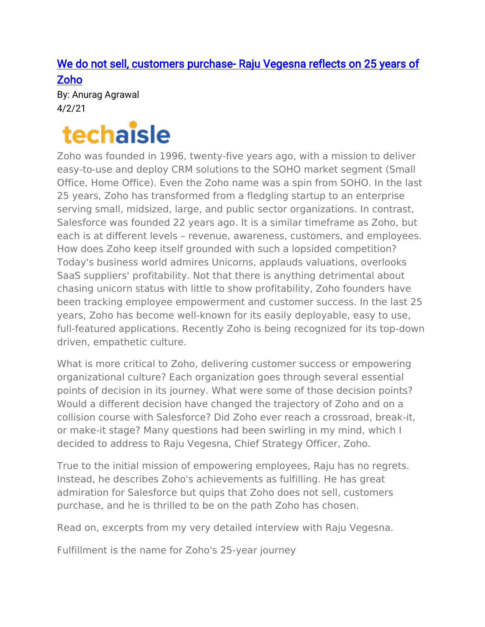# [We do not sell, customers purchase- Raju Vegesna reflects on 25 years of](https://techaisle.com/blog/450-we-do-not-sell-customers-purchase-raju-vegesna-reflects-on-25-years-of-zoho?utm_content=bufferc3bbe&utm_medium=social&utm_source=twitter.com&utm_campaign=buffer)  [Zoho](https://techaisle.com/blog/450-we-do-not-sell-customers-purchase-raju-vegesna-reflects-on-25-years-of-zoho?utm_content=bufferc3bbe&utm_medium=social&utm_source=twitter.com&utm_campaign=buffer)

By: Anurag Agrawal 4/2/21

# techaisle

Zoho was founded in 1996, twenty-five years ago, with a mission to deliver easy-to-use and deploy CRM solutions to the SOHO market segment (Small Office, Home Office). Even the Zoho name was a spin from SOHO. In the last 25 years, Zoho has transformed from a fledgling startup to an enterprise serving small, midsized, large, and public sector organizations. In contrast, Salesforce was founded 22 years ago. It is a similar timeframe as Zoho, but each is at different levels – revenue, awareness, customers, and employees. How does Zoho keep itself grounded with such a lopsided competition? Today's business world admires Unicorns, applauds valuations, overlooks SaaS suppliers' profitability. Not that there is anything detrimental about chasing unicorn status with little to show profitability, Zoho founders have been tracking employee empowerment and customer success. In the last 25 years, Zoho has become well-known for its easily deployable, easy to use, full-featured applications. Recently Zoho is being recognized for its top-down driven, empathetic culture.

What is more critical to Zoho, delivering customer success or empowering organizational culture? Each organization goes through several essential points of decision in its journey. What were some of those decision points? Would a different decision have changed the trajectory of Zoho and on a collision course with Salesforce? Did Zoho ever reach a crossroad, break-it, or make-it stage? Many questions had been swirling in my mind, which I decided to address to Raju Vegesna, Chief Strategy Officer, Zoho.

True to the initial mission of empowering employees, Raju has no regrets. Instead, he describes Zoho's achievements as fulfilling. He has great admiration for Salesforce but quips that Zoho does not sell, customers purchase, and he is thrilled to be on the path Zoho has chosen.

Read on, excerpts from my very detailed interview with Raju Vegesna.

Fulfillment is the name for Zoho's 25-year journey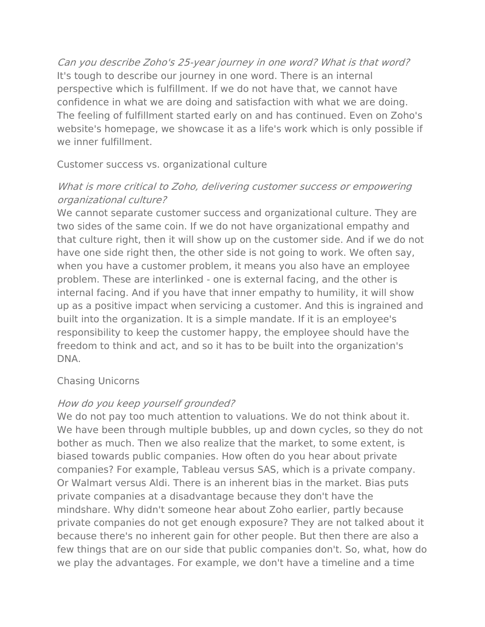Can you describe Zoho's 25-year journey in one word? What is that word? It's tough to describe our journey in one word. There is an internal perspective which is fulfillment. If we do not have that, we cannot have confidence in what we are doing and satisfaction with what we are doing. The feeling of fulfillment started early on and has continued. Even on Zoho's website's homepage, we showcase it as a life's work which is only possible if we inner fulfillment.

Customer success vs. organizational culture

# What is more critical to Zoho, delivering customer success or empowering organizational culture?

We cannot separate customer success and organizational culture. They are two sides of the same coin. If we do not have organizational empathy and that culture right, then it will show up on the customer side. And if we do not have one side right then, the other side is not going to work. We often say, when you have a customer problem, it means you also have an employee problem. These are interlinked - one is external facing, and the other is internal facing. And if you have that inner empathy to humility, it will show up as a positive impact when servicing a customer. And this is ingrained and built into the organization. It is a simple mandate. If it is an employee's responsibility to keep the customer happy, the employee should have the freedom to think and act, and so it has to be built into the organization's DNA.

#### Chasing Unicorns

# How do you keep yourself grounded?

We do not pay too much attention to valuations. We do not think about it. We have been through multiple bubbles, up and down cycles, so they do not bother as much. Then we also realize that the market, to some extent, is biased towards public companies. How often do you hear about private companies? For example, Tableau versus SAS, which is a private company. Or Walmart versus Aldi. There is an inherent bias in the market. Bias puts private companies at a disadvantage because they don't have the mindshare. Why didn't someone hear about Zoho earlier, partly because private companies do not get enough exposure? They are not talked about it because there's no inherent gain for other people. But then there are also a few things that are on our side that public companies don't. So, what, how do we play the advantages. For example, we don't have a timeline and a time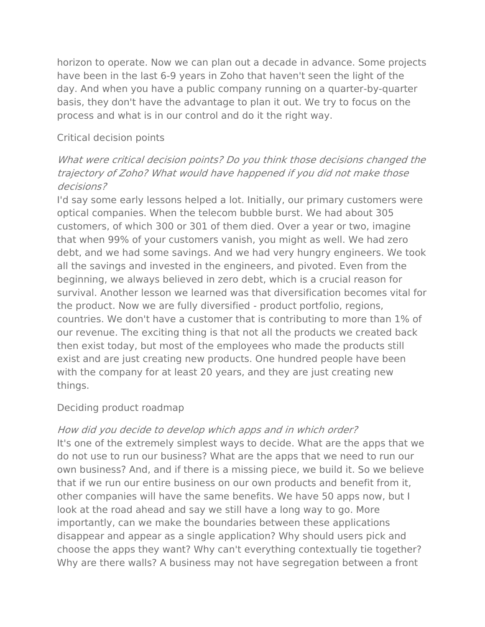horizon to operate. Now we can plan out a decade in advance. Some projects have been in the last 6-9 years in Zoho that haven't seen the light of the day. And when you have a public company running on a quarter-by-quarter basis, they don't have the advantage to plan it out. We try to focus on the process and what is in our control and do it the right way.

#### Critical decision points

# What were critical decision points? Do you think those decisions changed the trajectory of Zoho? What would have happened if you did not make those decisions?

I'd say some early lessons helped a lot. Initially, our primary customers were optical companies. When the telecom bubble burst. We had about 305 customers, of which 300 or 301 of them died. Over a year or two, imagine that when 99% of your customers vanish, you might as well. We had zero debt, and we had some savings. And we had very hungry engineers. We took all the savings and invested in the engineers, and pivoted. Even from the beginning, we always believed in zero debt, which is a crucial reason for survival. Another lesson we learned was that diversification becomes vital for the product. Now we are fully diversified - product portfolio, regions, countries. We don't have a customer that is contributing to more than 1% of our revenue. The exciting thing is that not all the products we created back then exist today, but most of the employees who made the products still exist and are just creating new products. One hundred people have been with the company for at least 20 years, and they are just creating new things.

#### Deciding product roadmap

# How did you decide to develop which apps and in which order?

It's one of the extremely simplest ways to decide. What are the apps that we do not use to run our business? What are the apps that we need to run our own business? And, and if there is a missing piece, we build it. So we believe that if we run our entire business on our own products and benefit from it, other companies will have the same benefits. We have 50 apps now, but I look at the road ahead and say we still have a long way to go. More importantly, can we make the boundaries between these applications disappear and appear as a single application? Why should users pick and choose the apps they want? Why can't everything contextually tie together? Why are there walls? A business may not have segregation between a front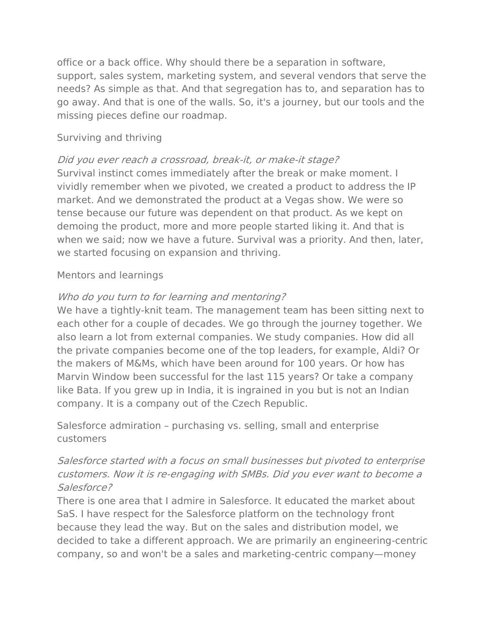office or a back office. Why should there be a separation in software, support, sales system, marketing system, and several vendors that serve the needs? As simple as that. And that segregation has to, and separation has to go away. And that is one of the walls. So, it's a journey, but our tools and the missing pieces define our roadmap.

#### Surviving and thriving

# Did you ever reach a crossroad, break-it, or make-it stage?

Survival instinct comes immediately after the break or make moment. I vividly remember when we pivoted, we created a product to address the IP market. And we demonstrated the product at a Vegas show. We were so tense because our future was dependent on that product. As we kept on demoing the product, more and more people started liking it. And that is when we said; now we have a future. Survival was a priority. And then, later, we started focusing on expansion and thriving.

#### Mentors and learnings

# Who do you turn to for learning and mentoring?

We have a tightly-knit team. The management team has been sitting next to each other for a couple of decades. We go through the journey together. We also learn a lot from external companies. We study companies. How did all the private companies become one of the top leaders, for example, Aldi? Or the makers of M&Ms, which have been around for 100 years. Or how has Marvin Window been successful for the last 115 years? Or take a company like Bata. If you grew up in India, it is ingrained in you but is not an Indian company. It is a company out of the Czech Republic.

Salesforce admiration – purchasing vs. selling, small and enterprise customers

# Salesforce started with a focus on small businesses but pivoted to enterprise customers. Now it is re-engaging with SMBs. Did you ever want to become a Salesforce?

There is one area that I admire in Salesforce. It educated the market about SaS. I have respect for the Salesforce platform on the technology front because they lead the way. But on the sales and distribution model, we decided to take a different approach. We are primarily an engineering-centric company, so and won't be a sales and marketing-centric company—money